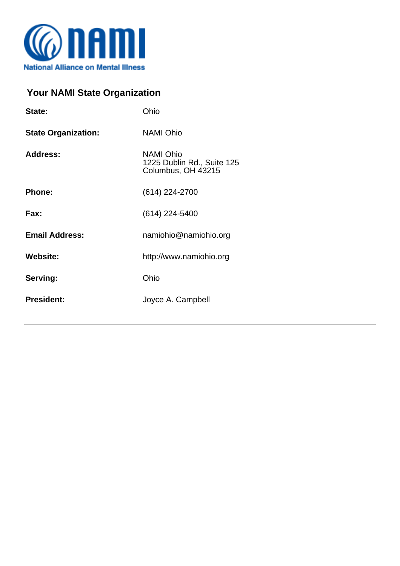

## **Your NAMI State Organization**

| State:                     | Ohio                                                                 |
|----------------------------|----------------------------------------------------------------------|
| <b>State Organization:</b> | <b>NAMI Ohio</b>                                                     |
| <b>Address:</b>            | <b>NAMI Ohio</b><br>1225 Dublin Rd., Suite 125<br>Columbus, OH 43215 |
| <b>Phone:</b>              | (614) 224-2700                                                       |
| Fax:                       | $(614)$ 224-5400                                                     |
| <b>Email Address:</b>      | namiohio@namiohio.org                                                |
| <b>Website:</b>            | http://www.namiohio.org                                              |
| Serving:                   | Ohio                                                                 |
| <b>President:</b>          | Joyce A. Campbell                                                    |
|                            |                                                                      |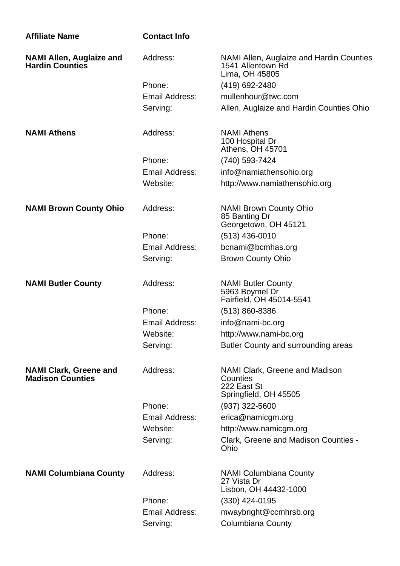| <b>Affiliate Name</b>                                     | <b>Contact Info</b>   |                                                                                    |
|-----------------------------------------------------------|-----------------------|------------------------------------------------------------------------------------|
| <b>NAMI Allen, Auglaize and</b><br><b>Hardin Counties</b> | Address:              | NAMI Allen, Auglaize and Hardin Counties<br>1541 Allentown Rd<br>Lima, OH 45805    |
|                                                           | Phone:                | (419) 692-2480                                                                     |
|                                                           | Email Address:        | mullenhour@twc.com                                                                 |
|                                                           | Serving:              | Allen, Auglaize and Hardin Counties Ohio                                           |
| <b>NAMI Athens</b>                                        | Address:              | <b>NAMI</b> Athens<br>100 Hospital Dr<br>Athens, OH 45701                          |
|                                                           | Phone:                | (740) 593-7424                                                                     |
|                                                           | <b>Email Address:</b> | info@namiathensohio.org                                                            |
|                                                           | Website:              | http://www.namiathensohio.org                                                      |
| <b>NAMI Brown County Ohio</b>                             | Address:              | <b>NAMI Brown County Ohio</b><br>85 Banting Dr<br>Georgetown, OH 45121             |
|                                                           | Phone:                | $(513)$ 436-0010                                                                   |
|                                                           | Email Address:        | bcnami@bcmhas.org                                                                  |
|                                                           | Serving:              | <b>Brown County Ohio</b>                                                           |
| <b>NAMI Butler County</b>                                 | Address:              | <b>NAMI Butler County</b><br>5963 Boymel Dr<br>Fairfield, OH 45014-5541            |
|                                                           | Phone:                | $(513) 860 - 8386$                                                                 |
|                                                           | Email Address:        | info@nami-bc.org                                                                   |
|                                                           | Website:              | http://www.nami-bc.org                                                             |
|                                                           | Serving:              | Butler County and surrounding areas                                                |
| <b>NAMI Clark, Greene and</b><br><b>Madison Counties</b>  | Address:              | NAMI Clark, Greene and Madison<br>Counties<br>222 East St<br>Springfield, OH 45505 |
|                                                           | Phone:                | $(937)$ 322-5600                                                                   |
|                                                           | Email Address:        | erica@namicgm.org                                                                  |
|                                                           | Website:              | http://www.namicgm.org                                                             |
|                                                           | Serving:              | Clark, Greene and Madison Counties -<br>Ohio                                       |
| <b>NAMI Columbiana County</b>                             | Address:              | <b>NAMI Columbiana County</b><br>27 Vista Dr<br>Lisbon, OH 44432-1000              |
|                                                           | Phone:                | (330) 424-0195                                                                     |
|                                                           | <b>Email Address:</b> | mwaybright@ccmhrsb.org                                                             |
|                                                           | Serving:              | Columbiana County                                                                  |
|                                                           |                       |                                                                                    |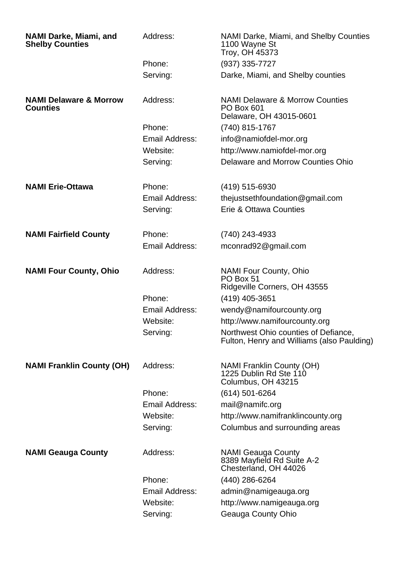| <b>NAMI Darke, Miami, and</b><br><b>Shelby Counties</b> | Address:              | NAMI Darke, Miami, and Shelby Counties<br>1100 Wayne St<br>Troy, OH 45373                  |
|---------------------------------------------------------|-----------------------|--------------------------------------------------------------------------------------------|
|                                                         | Phone:                | (937) 335-7727                                                                             |
|                                                         | Serving:              | Darke, Miami, and Shelby counties                                                          |
| <b>NAMI Delaware &amp; Morrow</b><br><b>Counties</b>    | Address:              | <b>NAMI Delaware &amp; Morrow Counties</b><br><b>PO Box 601</b><br>Delaware, OH 43015-0601 |
|                                                         | Phone:                | (740) 815-1767                                                                             |
|                                                         | Email Address:        | info@namiofdel-mor.org                                                                     |
|                                                         | Website:              | http://www.namiofdel-mor.org                                                               |
|                                                         | Serving:              | Delaware and Morrow Counties Ohio                                                          |
| <b>NAMI Erie-Ottawa</b>                                 | Phone:                | (419) 515-6930                                                                             |
|                                                         | Email Address:        | the just seth foundation @gmail.com                                                        |
|                                                         | Serving:              | Erie & Ottawa Counties                                                                     |
| <b>NAMI Fairfield County</b>                            | Phone:                | (740) 243-4933                                                                             |
|                                                         | Email Address:        | mconrad92@gmail.com                                                                        |
| <b>NAMI Four County, Ohio</b>                           | Address:              | <b>NAMI Four County, Ohio</b><br>PO Box 51<br>Ridgeville Corners, OH 43555                 |
|                                                         | Phone:                | $(419)$ 405-3651                                                                           |
|                                                         | <b>Email Address:</b> | wendy@namifourcounty.org                                                                   |
|                                                         | Website:              | http://www.namifourcounty.org                                                              |
|                                                         | Serving:              | Northwest Ohio counties of Defiance,<br>Fulton, Henry and Williams (also Paulding)         |
| <b>NAMI Franklin County (OH)</b>                        | Address:              | <b>NAMI Franklin County (OH)</b><br>1225 Dublin Rd Ste 110<br>Columbus, OH 43215           |
|                                                         | Phone:                | (614) 501-6264                                                                             |
|                                                         | <b>Email Address:</b> | mail@namifc.org                                                                            |
|                                                         | Website:              | http://www.namifranklincounty.org                                                          |
|                                                         | Serving:              | Columbus and surrounding areas                                                             |
| <b>NAMI Geauga County</b>                               | Address:              | <b>NAMI Geauga County</b><br>8389 Mayfield Rd Suite A-2<br>Chesterland, OH 44026           |
|                                                         | Phone:                | (440) 286-6264                                                                             |
|                                                         | <b>Email Address:</b> | admin@namigeauga.org                                                                       |
|                                                         | Website:              | http://www.namigeauga.org                                                                  |
|                                                         | Serving:              | Geauga County Ohio                                                                         |
|                                                         |                       |                                                                                            |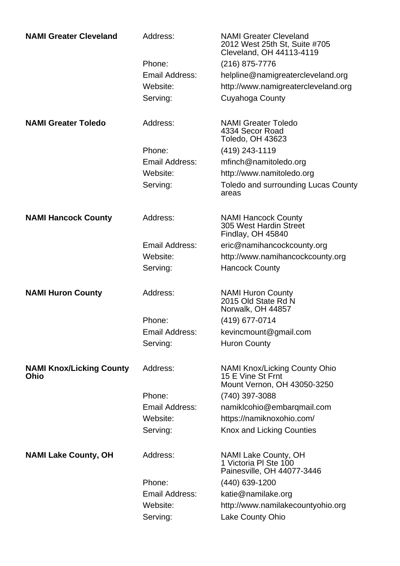| <b>NAMI Greater Cleveland</b>                  | Address:       | <b>NAMI Greater Cleveland</b><br>2012 West 25th St, Suite #705<br>Cleveland, OH 44113-4119 |
|------------------------------------------------|----------------|--------------------------------------------------------------------------------------------|
|                                                | Phone:         | (216) 875-7776                                                                             |
|                                                | Email Address: | helpline@namigreatercleveland.org                                                          |
|                                                | Website:       | http://www.namigreatercleveland.org                                                        |
|                                                | Serving:       | Cuyahoga County                                                                            |
| <b>NAMI Greater Toledo</b>                     | Address:       | <b>NAMI Greater Toledo</b><br>4334 Secor Road<br><b>Toledo, OH 43623</b>                   |
|                                                | Phone:         | (419) 243-1119                                                                             |
|                                                | Email Address: | mfinch@namitoledo.org                                                                      |
|                                                | Website:       | http://www.namitoledo.org                                                                  |
|                                                | Serving:       | <b>Toledo and surrounding Lucas County</b><br>areas                                        |
| <b>NAMI Hancock County</b>                     | Address:       | <b>NAMI Hancock County</b><br>305 West Hardin Street<br>Findlay, OH 45840                  |
|                                                | Email Address: | eric@namihancockcounty.org                                                                 |
|                                                | Website:       | http://www.namihancockcounty.org                                                           |
|                                                | Serving:       | <b>Hancock County</b>                                                                      |
| <b>NAMI Huron County</b>                       | Address:       | <b>NAMI Huron County</b><br>2015 Old State Rd N<br>Norwalk, OH 44857                       |
|                                                | Phone:         | (419) 677-0714                                                                             |
|                                                | Email Address: | kevincmount@gmail.com                                                                      |
|                                                | Serving:       | <b>Huron County</b>                                                                        |
| <b>NAMI Knox/Licking County</b><br><b>Ohio</b> | Address:       | <b>NAMI Knox/Licking County Ohio</b><br>15 E Vine St Frnt<br>Mount Vernon, OH 43050-3250   |
|                                                | Phone:         | (740) 397-3088                                                                             |
|                                                | Email Address: | namiklcohio@embarqmail.com                                                                 |
|                                                | Website:       | https://namiknoxohio.com/                                                                  |
|                                                | Serving:       | Knox and Licking Counties                                                                  |
| <b>NAMI Lake County, OH</b>                    | Address:       | NAMI Lake County, OH<br>1 Victoria PI Ste 100<br>Painesville, OH 44077-3446                |
|                                                | Phone:         | (440) 639-1200                                                                             |
|                                                | Email Address: | katie@namilake.org                                                                         |
|                                                | Website:       | http://www.namilakecountyohio.org                                                          |
|                                                | Serving:       | Lake County Ohio                                                                           |
|                                                |                |                                                                                            |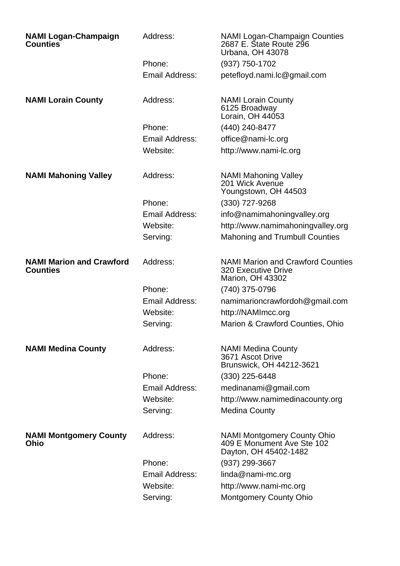| <b>NAMI Logan-Champaign</b><br><b>Counties</b>     | Address:              | <b>NAMI Logan-Champaign Counties</b><br>2687 E. Štate Route 296<br>Urbana, OH 43078               |
|----------------------------------------------------|-----------------------|---------------------------------------------------------------------------------------------------|
|                                                    | Phone:                | (937) 750-1702                                                                                    |
|                                                    | <b>Email Address:</b> | petefloyd.nami.lc@gmail.com                                                                       |
| <b>NAMI Lorain County</b>                          | Address:              | <b>NAMI Lorain County</b><br>6125 Broadway<br>Lorain, OH 44053                                    |
|                                                    | Phone:                | (440) 240-8477                                                                                    |
|                                                    | Email Address:        | office@nami-lc.org                                                                                |
|                                                    | Website:              | http://www.nami-lc.org                                                                            |
| <b>NAMI Mahoning Valley</b>                        | Address:              | <b>NAMI Mahoning Valley</b><br>201 Wick Avenue<br>Youngstown, OH 44503                            |
|                                                    | Phone:                | (330) 727-9268                                                                                    |
|                                                    | Email Address:        | info@namimahoningvalley.org                                                                       |
|                                                    | Website:              | http://www.namimahoningvalley.org                                                                 |
|                                                    | Serving:              | <b>Mahoning and Trumbull Counties</b>                                                             |
| <b>NAMI Marion and Crawford</b><br><b>Counties</b> | Address:              | <b>NAMI Marion and Crawford Counties</b><br><b>320 Executive Drive</b><br><b>Marion, OH 43302</b> |
|                                                    | Phone:                | (740) 375-0796                                                                                    |
|                                                    | <b>Email Address:</b> | namimarioncrawfordoh@gmail.com                                                                    |
|                                                    | Website:              | http://NAMImcc.org                                                                                |
|                                                    | Serving:              | Marion & Crawford Counties, Ohio                                                                  |
| <b>NAMI Medina County</b>                          | Address:              | <b>NAMI Medina County</b><br>3671 Ascot Drive<br>Brunswick, OH 44212-3621                         |
|                                                    | Phone:                | $(330)$ 225-6448                                                                                  |
|                                                    | Email Address:        | medinanami@gmail.com                                                                              |
|                                                    | Website:              | http://www.namimedinacounty.org                                                                   |
|                                                    | Serving:              | <b>Medina County</b>                                                                              |
| <b>NAMI Montgomery County</b><br>Ohio              | Address:              | <b>NAMI Montgomery County Ohio</b><br>409 E Monument Ave Ste 102<br>Dayton, OH 45402-1482         |
|                                                    | Phone:                | (937) 299-3667                                                                                    |
|                                                    | Email Address:        | linda@nami-mc.org                                                                                 |
|                                                    | Website:              | http://www.nami-mc.org                                                                            |
|                                                    | Serving:              | <b>Montgomery County Ohio</b>                                                                     |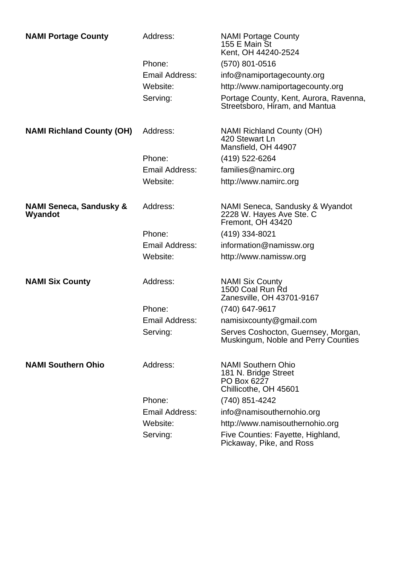| <b>NAMI Portage County</b>                    | Address:              | <b>NAMI Portage County</b><br>155 E Main St<br>Kent, OH 44240-2524                        |
|-----------------------------------------------|-----------------------|-------------------------------------------------------------------------------------------|
|                                               | Phone:                | $(570)$ 801-0516                                                                          |
|                                               | Email Address:        | info@namiportagecounty.org                                                                |
|                                               | Website:              | http://www.namiportagecounty.org                                                          |
|                                               | Serving:              | Portage County, Kent, Aurora, Ravenna,<br>Streetsboro, Hiram, and Mantua                  |
| <b>NAMI Richland County (OH)</b>              | Address:              | <b>NAMI Richland County (OH)</b><br>420 Stewart Ln<br>Mansfield, OH 44907                 |
|                                               | Phone:                | (419) 522-6264                                                                            |
|                                               | Email Address:        | families@namirc.org                                                                       |
|                                               | Website:              | http://www.namirc.org                                                                     |
| <b>NAMI Seneca, Sandusky &amp;</b><br>Wyandot | Address:              | NAMI Seneca, Sandusky & Wyandot<br>2228 W. Hayes Ave Ste. C<br>Fremont, OH 43420          |
|                                               | Phone:                | (419) 334-8021                                                                            |
|                                               | <b>Email Address:</b> | information@namissw.org                                                                   |
|                                               | Website:              | http://www.namissw.org                                                                    |
| <b>NAMI Six County</b>                        | Address:              | <b>NAMI Six County</b><br>1500 Coal Run Rd<br>Zanesville, OH 43701-9167                   |
|                                               | Phone:                | (740) 647-9617                                                                            |
|                                               | Email Address:        | namisixcounty@gmail.com                                                                   |
|                                               | Serving:              | Serves Coshocton, Guernsey, Morgan,<br>Muskingum, Noble and Perry Counties                |
| <b>NAMI Southern Ohio</b>                     | Address:              | <b>NAMI Southern Ohio</b><br>181 N. Bridge Street<br>PO Box 6227<br>Chillicothe, OH 45601 |
|                                               | Phone:                | (740) 851-4242                                                                            |
|                                               | Email Address:        | info@namisouthernohio.org                                                                 |
|                                               | Website:              | http://www.namisouthernohio.org                                                           |
|                                               | Serving:              | Five Counties: Fayette, Highland,<br>Pickaway, Pike, and Ross                             |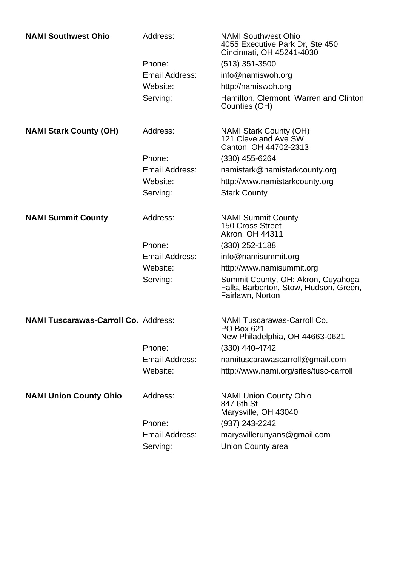| <b>NAMI Southwest Ohio</b>                  | Address:       | <b>NAMI Southwest Ohio</b><br>4055 Executive Park Dr, Ste 450<br>Cincinnati, OH 45241-4030       |
|---------------------------------------------|----------------|--------------------------------------------------------------------------------------------------|
|                                             | Phone:         | $(513)$ 351-3500                                                                                 |
|                                             | Email Address: | info@namiswoh.org                                                                                |
|                                             | Website:       | http://namiswoh.org                                                                              |
|                                             | Serving:       | Hamilton, Clermont, Warren and Clinton<br>Counties (OH)                                          |
| <b>NAMI Stark County (OH)</b>               | Address:       | <b>NAMI Stark County (OH)</b><br>121 Cleveland Ave SW<br>Canton, OH 44702-2313                   |
|                                             | Phone:         | $(330)$ 455-6264                                                                                 |
|                                             | Email Address: | namistark@namistarkcounty.org                                                                    |
|                                             | Website:       | http://www.namistarkcounty.org                                                                   |
|                                             | Serving:       | <b>Stark County</b>                                                                              |
| <b>NAMI Summit County</b>                   | Address:       | <b>NAMI Summit County</b><br><b>150 Cross Street</b>                                             |
|                                             |                | Akron, OH 44311                                                                                  |
|                                             | Phone:         | $(330)$ 252-1188                                                                                 |
|                                             | Email Address: | info@namisummit.org                                                                              |
|                                             | Website:       | http://www.namisummit.org                                                                        |
|                                             | Serving:       | Summit County, OH; Akron, Cuyahoga<br>Falls, Barberton, Stow, Hudson, Green,<br>Fairlawn, Norton |
| <b>NAMI Tuscarawas-Carroll Co. Address:</b> |                | <b>NAMI Tuscarawas-Carroll Co.</b>                                                               |
|                                             |                | PO Box 621<br>New Philadelphia, OH 44663-0621                                                    |
|                                             | Phone:         | (330) 440-4742                                                                                   |
|                                             | Email Address: | namituscarawascarroll@gmail.com                                                                  |
|                                             | Website:       | http://www.nami.org/sites/tusc-carroll                                                           |
| <b>NAMI Union County Ohio</b>               | Address:       | <b>NAMI Union County Ohio</b><br>847 6th St<br>Marysville, OH 43040                              |
|                                             | Phone:         | (937) 243-2242                                                                                   |
|                                             | Email Address: | marysvillerunyans@gmail.com                                                                      |
|                                             | Serving:       | Union County area                                                                                |
|                                             |                |                                                                                                  |